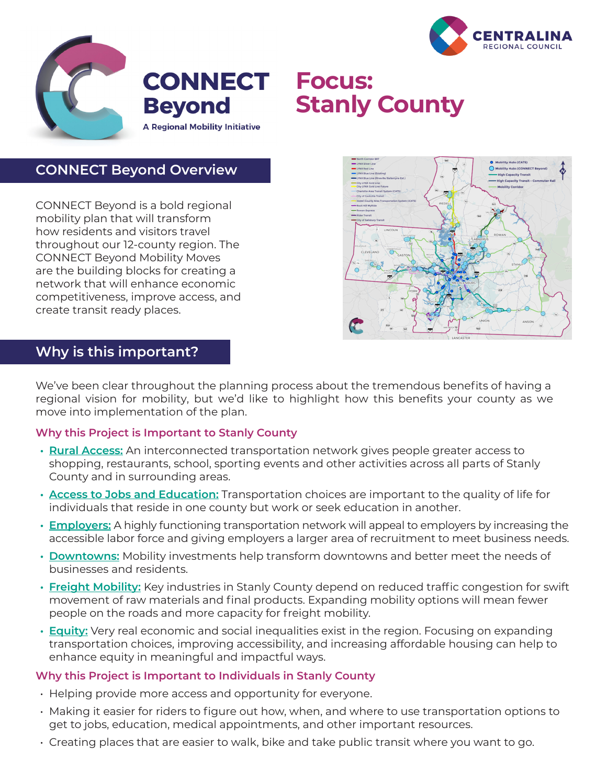



# **Stanly County**

## **CONNECT Beyond Overview**

CONNECT Beyond is a bold regional mobility plan that will transform how residents and visitors travel throughout our 12-county region. The CONNECT Beyond Mobility Moves are the building blocks for creating a network that will enhance economic competitiveness, improve access, and create transit ready places.



## **Why is this important?**

We've been clear throughout the planning process about the tremendous benefits of having a regional vision for mobility, but we'd like to highlight how this benefits your county as we move into implementation of the plan.

#### **Why this Project is Important to Stanly County**

- **• Rural Access:** An interconnected transportation network gives people greater access to shopping, restaurants, school, sporting events and other activities across all parts of Stanly County and in surrounding areas.
- **• Access to Jobs and Education:** Transportation choices are important to the quality of life for individuals that reside in one county but work or seek education in another.
- **• Employers:** A highly functioning transportation network will appeal to employers by increasing the accessible labor force and giving employers a larger area of recruitment to meet business needs.
- **• Downtowns:** Mobility investments help transform downtowns and better meet the needs of businesses and residents.
- **• Freight Mobility:** Key industries in Stanly County depend on reduced traffic congestion for swift movement of raw materials and final products. Expanding mobility options will mean fewer people on the roads and more capacity for freight mobility.
- **• Equity:** Very real economic and social inequalities exist in the region. Focusing on expanding transportation choices, improving accessibility, and increasing affordable housing can help to enhance equity in meaningful and impactful ways.

#### **Why this Project is Important to Individuals in Stanly County**

- Helping provide more access and opportunity for everyone.
- Making it easier for riders to figure out how, when, and where to use transportation options to get to jobs, education, medical appointments, and other important resources.
- Creating places that are easier to walk, bike and take public transit where you want to go.